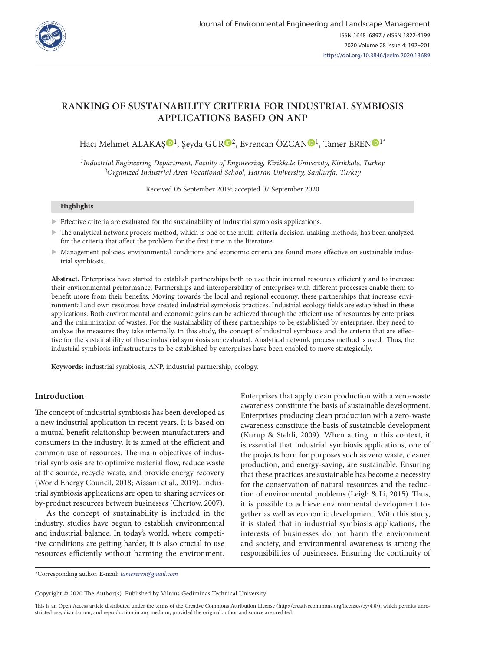

# **RANKING OF SUSTAINABILITY CRITERIA FOR INDUSTRIAL SYMBIOSIS APPLICATIONS BASED ON ANP**

Hacı Mehmet ALAKAS<sup>D[1](https://orcid.org/0000-0001-5282-3138)</sup>, Seyda GÜR<sup>D[2](https://orcid.org/0000-0002-4639-9657)</sup>, Evrencan ÖZCA[N](https://orcid.org/0000-0002-3662-6190)D<sup>1</sup>, Tamer EREND<sup>1\*</sup>

*1Industrial Engineering Department, Faculty of Engineering, Kirikkale University, Kirikkale, Turkey 2Organized Industrial Area Vocational School, Harran University, Sanliurfa, Turkey*

Received 05 September 2019; accepted 07 September 2020

#### **Highlights**

- $\blacktriangleright$  Effective criteria are evaluated for the sustainability of industrial symbiosis applications.
- $\triangleright$  The analytical network process method, which is one of the multi-criteria decision-making methods, has been analyzed for the criteria that affect the problem for the first time in the literature.
- X Management policies, environmental conditions and economic criteria are found more effective on sustainable industrial symbiosis.

**Abstract.** Enterprises have started to establish partnerships both to use their internal resources efficiently and to increase their environmental performance. Partnerships and interoperability of enterprises with different processes enable them to benefit more from their benefits. Moving towards the local and regional economy, these partnerships that increase environmental and own resources have created industrial symbiosis practices. Industrial ecology fields are established in these applications. Both environmental and economic gains can be achieved through the efficient use of resources by enterprises and the minimization of wastes. For the sustainability of these partnerships to be established by enterprises, they need to analyze the measures they take internally. In this study, the concept of industrial symbiosis and the criteria that are effective for the sustainability of these industrial symbiosis are evaluated. Analytical network process method is used. Thus, the industrial symbiosis infrastructures to be established by enterprises have been enabled to move strategically.

**Keywords:** industrial symbiosis, ANP, industrial partnership, ecology.

# **Introduction**

The concept of industrial symbiosis has been developed as a new industrial application in recent years. It is based on a mutual benefit relationship between manufacturers and consumers in the industry. It is aimed at the efficient and common use of resources. The main objectives of industrial symbiosis are to optimize material flow, reduce waste at the source, recycle waste, and provide energy recovery (World Energy Council, 2018; Aissani et al., 2019). Industrial symbiosis applications are open to sharing services or by-product resources between businesses (Chertow, 2007).

As the concept of sustainability is included in the industry, studies have begun to establish environmental and industrial balance. In today's world, where competitive conditions are getting harder, it is also crucial to use resources efficiently without harming the environment. Enterprises that apply clean production with a zero-waste awareness constitute the basis of sustainable development. Enterprises producing clean production with a zero-waste awareness constitute the basis of sustainable development (Kurup & Stehli, 2009). When acting in this context, it is essential that industrial symbiosis applications, one of the projects born for purposes such as zero waste, cleaner production, and energy-saving, are sustainable. Ensuring that these practices are sustainable has become a necessity for the conservation of natural resources and the reduction of environmental problems (Leigh & Li, 2015). Thus, it is possible to achieve environmental development together as well as economic development. With this study, it is stated that in industrial symbiosis applications, the interests of businesses do not harm the environment and society, and environmental awareness is among the responsibilities of businesses. Ensuring the continuity of

Copyright © 2020 The Author(s). Published by Vilnius Gediminas Technical University

This is an Open Access article distributed under the terms of the Creative Commons Attribution License [\(http://creativecommons.org/licenses/by/4.0/](http://creativecommons.org/licenses/by/4.0/)), which permits unrestricted use, distribution, and reproduction in any medium, provided the original author and source are credited.

<sup>\*</sup>Corresponding author. E-mail: *tamereren@gmail.com*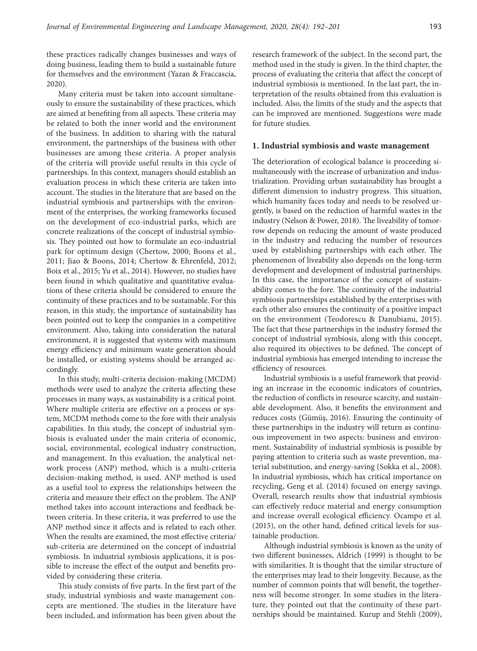these practices radically changes businesses and ways of doing business, leading them to build a sustainable future for themselves and the environment (Yazan & Fraccascia, 2020).

Many criteria must be taken into account simultaneously to ensure the sustainability of these practices, which are aimed at benefiting from all aspects. These criteria may be related to both the inner world and the environment of the business. In addition to sharing with the natural environment, the partnerships of the business with other businesses are among these criteria. A proper analysis of the criteria will provide useful results in this cycle of partnerships. In this context, managers should establish an evaluation process in which these criteria are taken into account. The studies in the literature that are based on the industrial symbiosis and partnerships with the environment of the enterprises, the working frameworks focused on the development of eco-industrial parks, which are concrete realizations of the concept of industrial symbiosis. They pointed out how to formulate an eco-industrial park for optimum design (Chertow, 2000; Boons et al., 2011; Jiao & Boons, 2014; Chertow & Ehrenfeld, 2012; Boix et al., 2015; Yu et al., 2014). However, no studies have been found in which qualitative and quantitative evaluations of these criteria should be considered to ensure the continuity of these practices and to be sustainable. For this reason, in this study, the importance of sustainability has been pointed out to keep the companies in a competitive environment. Also, taking into consideration the natural environment, it is suggested that systems with maximum energy efficiency and minimum waste generation should be installed, or existing systems should be arranged accordingly.

In this study, multi-criteria decision-making (MCDM) methods were used to analyze the criteria affecting these processes in many ways, as sustainability is a critical point. Where multiple criteria are effective on a process or system, MCDM methods come to the fore with their analysis capabilities. In this study, the concept of industrial symbiosis is evaluated under the main criteria of economic, social, environmental, ecological industry construction, and management. In this evaluation, the analytical network process (ANP) method, which is a multi-criteria decision-making method, is used. ANP method is used as a useful tool to express the relationships between the criteria and measure their effect on the problem. The ANP method takes into account interactions and feedback between criteria. In these criteria, it was preferred to use the ANP method since it affects and is related to each other. When the results are examined, the most effective criteria/ sub-criteria are determined on the concept of industrial symbiosis. In industrial symbiosis applications, it is possible to increase the effect of the output and benefits provided by considering these criteria.

This study consists of five parts. In the first part of the study, industrial symbiosis and waste management concepts are mentioned. The studies in the literature have been included, and information has been given about the research framework of the subject. In the second part, the method used in the study is given. In the third chapter, the process of evaluating the criteria that affect the concept of industrial symbiosis is mentioned. In the last part, the interpretation of the results obtained from this evaluation is included. Also, the limits of the study and the aspects that can be improved are mentioned. Suggestions were made for future studies.

#### **1. Industrial symbiosis and waste management**

The deterioration of ecological balance is proceeding simultaneously with the increase of urbanization and industrialization. Providing urban sustainability has brought a different dimension to industry progress. This situation, which humanity faces today and needs to be resolved urgently, is based on the reduction of harmful wastes in the industry (Nelson & Power, 2018). The liveability of tomorrow depends on reducing the amount of waste produced in the industry and reducing the number of resources used by establishing partnerships with each other. The phenomenon of liveability also depends on the long-term development and development of industrial partnerships. In this case, the importance of the concept of sustainability comes to the fore. The continuity of the industrial symbiosis partnerships established by the enterprises with each other also ensures the continuity of a positive impact on the environment (Teodorescu & Danubianu, 2015). The fact that these partnerships in the industry formed the concept of industrial symbiosis, along with this concept, also required its objectives to be defined. The concept of industrial symbiosis has emerged intending to increase the efficiency of resources.

Industrial symbiosis is a useful framework that providing an increase in the economic indicators of countries, the reduction of conflicts in resource scarcity, and sustainable development. Also, it benefits the environment and reduces costs (Gümüş, 2016). Ensuring the continuity of these partnerships in the industry will return as continuous improvement in two aspects: business and environment. Sustainability of industrial symbiosis is possible by paying attention to criteria such as waste prevention, material substitution, and energy-saving (Sokka et al., 2008). In industrial symbiosis, which has critical importance on recycling, Geng et al. (2014) focused on energy savings. Overall, research results show that industrial symbiosis can effectively reduce material and energy consumption and increase overall ecological efficiency. Ocampo et al. (2015), on the other hand, defined critical levels for sustainable production.

Although industrial symbiosis is known as the unity of two different businesses, Aldrich (1999) is thought to be with similarities. It is thought that the similar structure of the enterprises may lead to their longevity. Because, as the number of common points that will benefit, the togetherness will become stronger. In some studies in the literature, they pointed out that the continuity of these partnerships should be maintained. Kurup and Stehli (2009),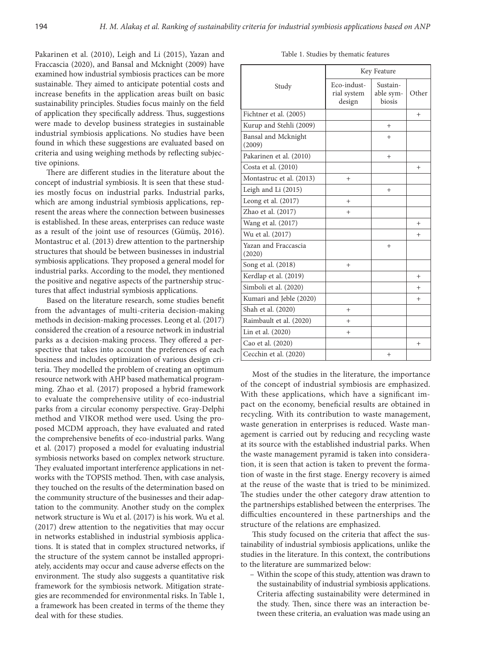Pakarinen et al. (2010), Leigh and Li (2015), Yazan and Fraccascia (2020), and Bansal and Mcknight (2009) have examined how industrial symbiosis practices can be more sustainable. They aimed to anticipate potential costs and increase benefits in the application areas built on basic sustainability principles. Studies focus mainly on the field of application they specifically address. Thus, suggestions were made to develop business strategies in sustainable industrial symbiosis applications. No studies have been found in which these suggestions are evaluated based on criteria and using weighing methods by reflecting subjective opinions.

There are different studies in the literature about the concept of industrial symbiosis. It is seen that these studies mostly focus on industrial parks. Industrial parks, which are among industrial symbiosis applications, represent the areas where the connection between businesses is established. In these areas, enterprises can reduce waste as a result of the joint use of resources (Gümüş, 2016). Montastruc et al. (2013) drew attention to the partnership structures that should be between businesses in industrial symbiosis applications. They proposed a general model for industrial parks. According to the model, they mentioned the positive and negative aspects of the partnership structures that affect industrial symbiosis applications.

Based on the literature research, some studies benefit from the advantages of multi-criteria decision-making methods in decision-making processes. Leong et al. (2017) considered the creation of a resource network in industrial parks as a decision-making process. They offered a perspective that takes into account the preferences of each business and includes optimization of various design criteria. They modelled the problem of creating an optimum resource network with AHP based mathematical programming. Zhao et al. (2017) proposed a hybrid framework to evaluate the comprehensive utility of eco-industrial parks from a circular economy perspective. Gray-Delphi method and VIKOR method were used. Using the proposed MCDM approach, they have evaluated and rated the comprehensive benefits of eco-industrial parks. Wang et al. (2017) proposed a model for evaluating industrial symbiosis networks based on complex network structure. They evaluated important interference applications in networks with the TOPSIS method. Then, with case analysis, they touched on the results of the determination based on the community structure of the businesses and their adaptation to the community. Another study on the complex network structure is Wu et al. (2017) is his work. Wu et al. (2017) drew attention to the negativities that may occur in networks established in industrial symbiosis applications. It is stated that in complex structured networks, if the structure of the system cannot be installed appropriately, accidents may occur and cause adverse effects on the environment. The study also suggests a quantitative risk framework for the symbiosis network. Mitigation strategies are recommended for environmental risks. In Table 1, a framework has been created in terms of the theme they deal with for these studies.

|  |  |  |  | Table 1. Studies by thematic features |  |
|--|--|--|--|---------------------------------------|--|
|--|--|--|--|---------------------------------------|--|

|                                | Key Feature                          |                                 |        |  |  |  |  |  |
|--------------------------------|--------------------------------------|---------------------------------|--------|--|--|--|--|--|
| Study                          | Eco-indust-<br>rial system<br>design | Sustain-<br>able sym-<br>biosis | Other  |  |  |  |  |  |
| Fichtner et al. (2005)         |                                      |                                 | $^{+}$ |  |  |  |  |  |
| Kurup and Stehli (2009)        |                                      | $^{+}$                          |        |  |  |  |  |  |
| Bansal and Mcknight<br>(2009)  |                                      | $^{+}$                          |        |  |  |  |  |  |
| Pakarinen et al. (2010)        |                                      | $^{+}$                          |        |  |  |  |  |  |
| Costa et al. (2010)            |                                      |                                 | $^{+}$ |  |  |  |  |  |
| Montastruc et al. (2013)       | $^{+}$                               |                                 |        |  |  |  |  |  |
| Leigh and Li (2015)            |                                      | $^{+}$                          |        |  |  |  |  |  |
| Leong et al. (2017)            | $+$                                  |                                 |        |  |  |  |  |  |
| Zhao et al. (2017)             | $^{+}$                               |                                 |        |  |  |  |  |  |
| Wang et al. (2017)             |                                      |                                 | $^{+}$ |  |  |  |  |  |
| Wu et al. (2017)               |                                      |                                 | $^{+}$ |  |  |  |  |  |
| Yazan and Fraccascia<br>(2020) |                                      | $^{+}$                          |        |  |  |  |  |  |
| Song et al. (2018)             | $+$                                  |                                 |        |  |  |  |  |  |
| Kerdlap et al. (2019)          |                                      |                                 | $^{+}$ |  |  |  |  |  |
| Simboli et al. (2020)          |                                      |                                 | $^{+}$ |  |  |  |  |  |
| Kumari and Jeble (2020)        |                                      |                                 | $^{+}$ |  |  |  |  |  |
| Shah et al. (2020)             | $^{+}$                               |                                 |        |  |  |  |  |  |
| Raimbault et al. (2020)        | $^{+}$                               |                                 |        |  |  |  |  |  |
| Lin et al. (2020)              | $^{+}$                               |                                 |        |  |  |  |  |  |
| Cao et al. (2020)              |                                      |                                 | $^{+}$ |  |  |  |  |  |
| Cecchin et al. (2020)          |                                      | $^{+}$                          |        |  |  |  |  |  |

Most of the studies in the literature, the importance of the concept of industrial symbiosis are emphasized. With these applications, which have a significant impact on the economy, beneficial results are obtained in recycling. With its contribution to waste management, waste generation in enterprises is reduced. Waste management is carried out by reducing and recycling waste at its source with the established industrial parks. When the waste management pyramid is taken into consideration, it is seen that action is taken to prevent the formation of waste in the first stage. Energy recovery is aimed at the reuse of the waste that is tried to be minimized. The studies under the other category draw attention to the partnerships established between the enterprises. The difficulties encountered in these partnerships and the structure of the relations are emphasized.

This study focused on the criteria that affect the sustainability of industrial symbiosis applications, unlike the studies in the literature. In this context, the contributions to the literature are summarized below:

– Within the scope of this study, attention was drawn to the sustainability of industrial symbiosis applications. Criteria affecting sustainability were determined in the study. Then, since there was an interaction between these criteria, an evaluation was made using an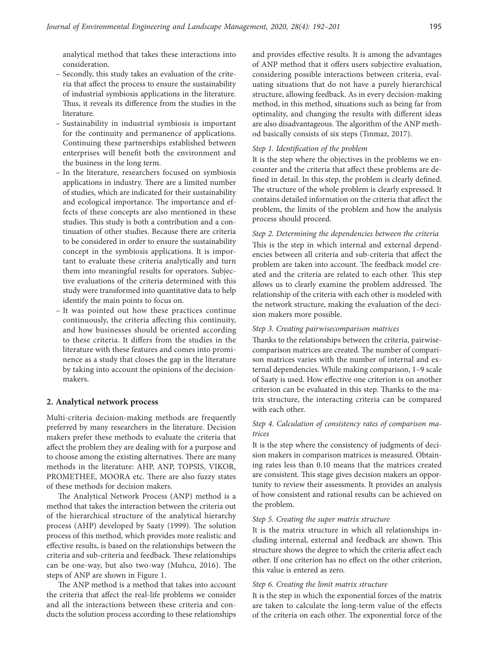analytical method that takes these interactions into consideration.

- Secondly, this study takes an evaluation of the criteria that affect the process to ensure the sustainability of industrial symbiosis applications in the literature. Thus, it reveals its difference from the studies in the literature.
- Sustainability in industrial symbiosis is important for the continuity and permanence of applications. Continuing these partnerships established between enterprises will benefit both the environment and the business in the long term.
- In the literature, researchers focused on symbiosis applications in industry. There are a limited number of studies, which are indicated for their sustainability and ecological importance. The importance and effects of these concepts are also mentioned in these studies. This study is both a contribution and a continuation of other studies. Because there are criteria to be considered in order to ensure the sustainability concept in the symbiosis applications. It is important to evaluate these criteria analytically and turn them into meaningful results for operators. Subjective evaluations of the criteria determined with this study were transformed into quantitative data to help identify the main points to focus on.
- It was pointed out how these practices continue continuously, the criteria affecting this continuity, and how businesses should be oriented according to these criteria. It differs from the studies in the literature with these features and comes into prominence as a study that closes the gap in the literature by taking into account the opinions of the decisionmakers.

### **2. Analytical network process**

Multi-criteria decision-making methods are frequently preferred by many researchers in the literature. Decision makers prefer these methods to evaluate the criteria that affect the problem they are dealing with for a purpose and to choose among the existing alternatives. There are many methods in the literature: AHP, ANP, TOPSIS, VIKOR, PROMETHEE, MOORA etc. There are also fuzzy states of these methods for decision makers.

The Analytical Network Process (ANP) method is a method that takes the interaction between the criteria out of the hierarchical structure of the analytical hierarchy process (AHP) developed by Saaty (1999). The solution process of this method, which provides more realistic and effective results, is based on the relationships between the criteria and sub-criteria and feedback. These relationships can be one-way, but also two-way (Muhcu, 2016). The steps of ANP are shown in Figure 1.

The ANP method is a method that takes into account the criteria that affect the real-life problems we consider and all the interactions between these criteria and conducts the solution process according to these relationships and provides effective results. It is among the advantages of ANP method that it offers users subjective evaluation, considering possible interactions between criteria, evaluating situations that do not have a purely hierarchical structure, allowing feedback. As in every decision-making method, in this method, situations such as being far from optimality, and changing the results with different ideas are also disadvantageous. The algorithm of the ANP method basically consists of six steps (Tınmaz, 2017).

#### *Step 1. Identification of the problem*

It is the step where the objectives in the problems we encounter and the criteria that affect these problems are defined in detail. In this step, the problem is clearly defined. The structure of the whole problem is clearly expressed. It contains detailed information on the criteria that affect the problem, the limits of the problem and how the analysis process should proceed.

*Step 2. Determining the dependencies between the criteria* This is the step in which internal and external dependencies between all criteria and sub-criteria that affect the problem are taken into account. The feedback model created and the criteria are related to each other. This step allows us to clearly examine the problem addressed. The relationship of the criteria with each other is modeled with the network structure, making the evaluation of the decision makers more possible.

#### *Step 3. Creating pairwisecomparison matrices*

Thanks to the relationships between the criteria, pairwisecomparison matrices are created. The number of comparison matrices varies with the number of internal and external dependencies. While making comparison, 1–9 scale of Saaty is used. How effective one criterion is on another criterion can be evaluated in this step. Thanks to the matrix structure, the interacting criteria can be compared with each other.

## *Step 4. Calculation of consistency rates of comparison matrices*

It is the step where the consistency of judgments of decision makers in comparison matrices is measured. Obtaining rates less than 0.10 means that the matrices created are consistent. This stage gives decision makers an opportunity to review their assessments. It provides an analysis of how consistent and rational results can be achieved on the problem.

#### *Step 5. Creating the super matrix structure*

It is the matrix structure in which all relationships including internal, external and feedback are shown. This structure shows the degree to which the criteria affect each other. If one criterion has no effect on the other criterion, this value is entered as zero.

#### *Step 6. Creating the limit matrix structure*

It is the step in which the exponential forces of the matrix are taken to calculate the long-term value of the effects of the criteria on each other. The exponential force of the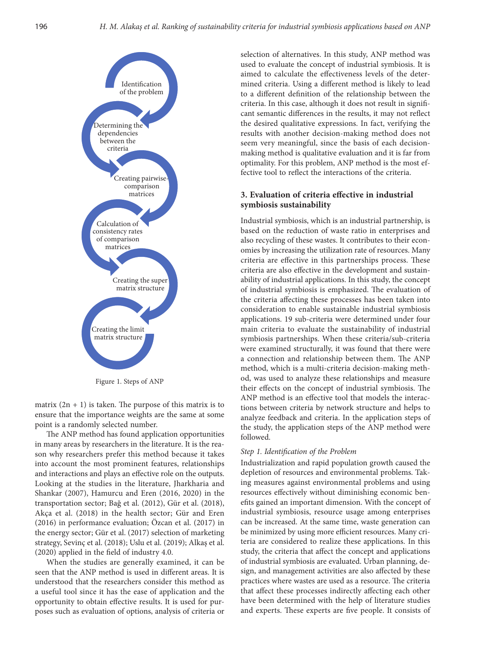

Figure 1. Steps of ANP

matrix  $(2n + 1)$  is taken. The purpose of this matrix is to ensure that the importance weights are the same at some point is a randomly selected number.

The ANP method has found application opportunities in many areas by researchers in the literature. It is the reason why researchers prefer this method because it takes into account the most prominent features, relationships and interactions and plays an effective role on the outputs. Looking at the studies in the literature, Jharkharia and Shankar (2007), Hamurcu and Eren (2016, 2020) in the transportation sector; Bağ et al. (2012), Gür et al. (2018), Akça et al. (2018) in the health sector; Gür and Eren (2016) in performance evaluation; Özcan et al. (2017) in the energy sector; Gür et al. (2017) selection of marketing strategy, Sevinç et al. (2018); Uslu et al. (2019); Alkaş et al. (2020) applied in the field of industry 4.0.

When the studies are generally examined, it can be seen that the ANP method is used in different areas. It is understood that the researchers consider this method as a useful tool since it has the ease of application and the opportunity to obtain effective results. It is used for purposes such as evaluation of options, analysis of criteria or

selection of alternatives. In this study, ANP method was used to evaluate the concept of industrial symbiosis. It is aimed to calculate the effectiveness levels of the determined criteria. Using a different method is likely to lead to a different definition of the relationship between the criteria. In this case, although it does not result in significant semantic differences in the results, it may not reflect the desired qualitative expressions. In fact, verifying the results with another decision-making method does not seem very meaningful, since the basis of each decisionmaking method is qualitative evaluation and it is far from optimality. For this problem, ANP method is the most effective tool to reflect the interactions of the criteria.

# **3. Evaluation of criteria effective in industrial symbiosis sustainability**

Industrial symbiosis, which is an industrial partnership, is based on the reduction of waste ratio in enterprises and also recycling of these wastes. It contributes to their economies by increasing the utilization rate of resources. Many criteria are effective in this partnerships process. These criteria are also effective in the development and sustainability of industrial applications. In this study, the concept of industrial symbiosis is emphasized. The evaluation of the criteria affecting these processes has been taken into consideration to enable sustainable industrial symbiosis applications. 19 sub-criteria were determined under four main criteria to evaluate the sustainability of industrial symbiosis partnerships. When these criteria/sub-criteria were examined structurally, it was found that there were a connection and relationship between them. The ANP method, which is a multi-criteria decision-making method, was used to analyze these relationships and measure their effects on the concept of industrial symbiosis. The ANP method is an effective tool that models the interactions between criteria by network structure and helps to analyze feedback and criteria. In the application steps of the study, the application steps of the ANP method were followed.

### *Step 1. Identification of the Problem*

Industrialization and rapid population growth caused the depletion of resources and environmental problems. Taking measures against environmental problems and using resources effectively without diminishing economic benefits gained an important dimension. With the concept of industrial symbiosis, resource usage among enterprises can be increased. At the same time, waste generation can be minimized by using more efficient resources. Many criteria are considered to realize these applications. In this study, the criteria that affect the concept and applications of industrial symbiosis are evaluated. Urban planning, design, and management activities are also affected by these practices where wastes are used as a resource. The criteria that affect these processes indirectly affecting each other have been determined with the help of literature studies and experts. These experts are five people. It consists of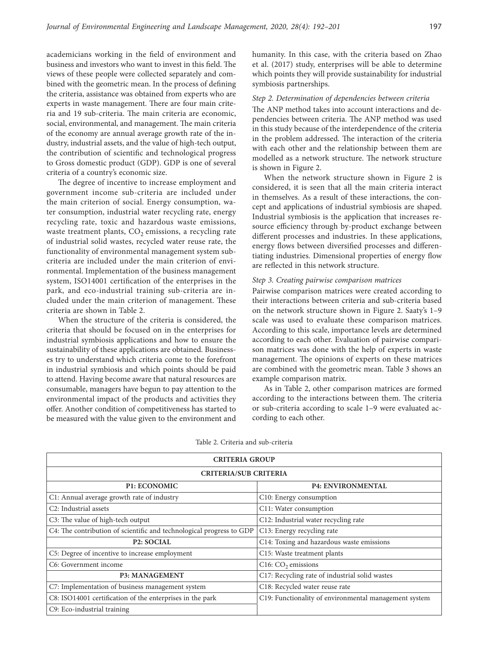academicians working in the field of environment and business and investors who want to invest in this field. The views of these people were collected separately and combined with the geometric mean. In the process of defining the criteria, assistance was obtained from experts who are experts in waste management. There are four main criteria and 19 sub-criteria. The main criteria are economic, social, environmental, and management. The main criteria of the economy are annual average growth rate of the industry, industrial assets, and the value of high-tech output, the contribution of scientific and technological progress to Gross domestic product (GDP). GDP is one of several criteria of a country's economic size.

The degree of incentive to increase employment and government income sub-criteria are included under the main criterion of social. Energy consumption, water consumption, industrial water recycling rate, energy recycling rate, toxic and hazardous waste emissions, waste treatment plants,  $CO<sub>2</sub>$  emissions, a recycling rate of industrial solid wastes, recycled water reuse rate, the functionality of environmental management system subcriteria are included under the main criterion of environmental. Implementation of the business management system, ISO14001 certification of the enterprises in the park, and eco-industrial training sub-criteria are included under the main criterion of management. These criteria are shown in Table 2.

When the structure of the criteria is considered, the criteria that should be focused on in the enterprises for industrial symbiosis applications and how to ensure the sustainability of these applications are obtained. Businesses try to understand which criteria come to the forefront in industrial symbiosis and which points should be paid to attend. Having become aware that natural resources are consumable, managers have begun to pay attention to the environmental impact of the products and activities they offer. Another condition of competitiveness has started to be measured with the value given to the environment and

humanity. In this case, with the criteria based on Zhao et al. (2017) study, enterprises will be able to determine which points they will provide sustainability for industrial symbiosis partnerships.

### *Step 2. Determination of dependencies between criteria*

The ANP method takes into account interactions and dependencies between criteria. The ANP method was used in this study because of the interdependence of the criteria in the problem addressed. The interaction of the criteria with each other and the relationship between them are modelled as a network structure. The network structure is shown in Figure 2.

When the network structure shown in Figure 2 is considered, it is seen that all the main criteria interact in themselves. As a result of these interactions, the concept and applications of industrial symbiosis are shaped. Industrial symbiosis is the application that increases resource efficiency through by-product exchange between different processes and industries. In these applications, energy flows between diversified processes and differentiating industries. Dimensional properties of energy flow are reflected in this network structure.

#### *Step 3. Creating pairwise comparison matrices*

Pairwise comparison matrices were created according to their interactions between criteria and sub-criteria based on the network structure shown in Figure 2. Saaty's 1–9 scale was used to evaluate these comparison matrices. According to this scale, importance levels are determined according to each other. Evaluation of pairwise comparison matrices was done with the help of experts in waste management. The opinions of experts on these matrices are combined with the geometric mean. Table 3 shows an example comparison matrix.

As in Table 2, other comparison matrices are formed according to the interactions between them. The criteria or sub-criteria according to scale 1–9 were evaluated according to each other.

| <b>CRITERIA GROUP</b>                                                |                                                       |  |  |  |  |  |  |  |  |  |
|----------------------------------------------------------------------|-------------------------------------------------------|--|--|--|--|--|--|--|--|--|
| <b>CRITERIA/SUB CRITERIA</b>                                         |                                                       |  |  |  |  |  |  |  |  |  |
| <b>P1: ECONOMIC</b>                                                  | <b>P4: ENVIRONMENTAL</b>                              |  |  |  |  |  |  |  |  |  |
| C1: Annual average growth rate of industry                           | C10: Energy consumption                               |  |  |  |  |  |  |  |  |  |
| C <sub>2</sub> : Industrial assets                                   | C11: Water consumption                                |  |  |  |  |  |  |  |  |  |
| C3: The value of high-tech output                                    | C12: Industrial water recycling rate                  |  |  |  |  |  |  |  |  |  |
| C4: The contribution of scientific and technological progress to GDP | C13: Energy recycling rate                            |  |  |  |  |  |  |  |  |  |
| <b>P2: SOCIAL</b>                                                    | C14: Toxing and hazardous waste emissions             |  |  |  |  |  |  |  |  |  |
| C5: Degree of incentive to increase employment                       | C15: Waste treatment plants                           |  |  |  |  |  |  |  |  |  |
| C6: Government income                                                | $C16$ : $CO2$ emissions                               |  |  |  |  |  |  |  |  |  |
| <b>P3: MANAGEMENT</b>                                                | C17: Recycling rate of industrial solid wastes        |  |  |  |  |  |  |  |  |  |
| C7: Implementation of business management system                     | C18: Recycled water reuse rate                        |  |  |  |  |  |  |  |  |  |
| C8: ISO14001 certification of the enterprises in the park            | C19: Functionality of environmental management system |  |  |  |  |  |  |  |  |  |
| C9: Eco-industrial training                                          |                                                       |  |  |  |  |  |  |  |  |  |

Table 2. Criteria and sub-criteria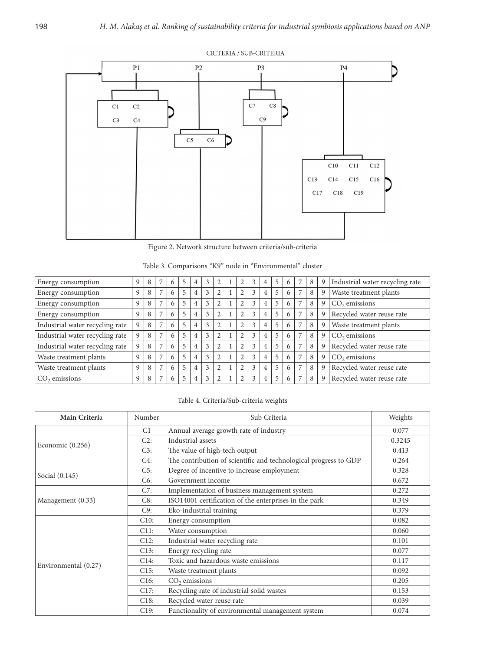

Figure 2. Network structure between criteria/sub-criteria

| Energy consumption              | 9 | 8 |                | 6 | 5 | $\overline{4}$ | 3 | $\overline{2}$ | 2 | 3 | 4 | 5  | 6 | 7              | 8 | 9 | Industrial water recycling rate |  |
|---------------------------------|---|---|----------------|---|---|----------------|---|----------------|---|---|---|----|---|----------------|---|---|---------------------------------|--|
| Energy consumption              | 9 | 8 | 7              | 6 | 5 | $\overline{4}$ | 3 |                | 2 | 3 | 4 | 5  | 6 | $\overline{7}$ | 8 | 9 | Waste treatment plants          |  |
| Energy consumption              | 9 | 8 |                | 6 | 5 | 4              | 3 |                |   | 3 | 4 | 5  | 6 |                | 8 | 9 | $CO2$ emissions                 |  |
| Energy consumption              | 9 | 8 |                | 6 | 5 | 4              | 3 | $\overline{2}$ |   | 3 | 4 |    | 6 |                | 8 | 9 | Recycled water reuse rate       |  |
| Industrial water recycling rate | 9 | 8 | 7              | 6 | 5 | 4              | 3 | $\overline{2}$ | 2 | 3 | 4 | 5  | 6 |                | 8 | 9 | Waste treatment plants          |  |
| Industrial water recycling rate | 9 | 8 | 7              | 6 | 5 | $\overline{4}$ | 3 | $\overline{2}$ | 2 | 3 | 4 | 5  | 6 |                | 8 | 9 | $CO2$ emissions                 |  |
| Industrial water recycling rate | 9 | 8 | 7              | 6 | 5 | $\overline{4}$ | 3 | $\overline{2}$ |   | 3 | 4 | 5  | 6 |                | 8 | 9 | Recycled water reuse rate       |  |
| Waste treatment plants          | 9 | 8 | 7              | 6 | 5 | $\overline{4}$ | 3 | $\overline{2}$ | 2 | 3 | 4 | .5 | 6 | 7              | 8 | 9 | $CO2$ emissions                 |  |
| Waste treatment plants          | 9 | 8 | 7              | 6 | 5 | $\overline{4}$ | 3 | $\mathcal{D}$  | 2 | 3 | 4 | 5  | 6 | $\overline{7}$ | 8 | 9 | Recycled water reuse rate       |  |
| $CO2$ emissions                 | 9 | 8 | $\overline{ }$ | 6 | 5 | 4              | 3 |                | 2 | 3 | 4 |    |   |                | 8 | 9 | Recycled water reuse rate       |  |
|                                 |   |   |                |   |   |                |   |                |   |   |   |    |   |                |   |   |                                 |  |

|  |  |  |  | Table 3. Comparisons "K9" node in "Environmental" cluster |  |
|--|--|--|--|-----------------------------------------------------------|--|
|--|--|--|--|-----------------------------------------------------------|--|

| Table 4. Criteria/Sub-criteria weights |
|----------------------------------------|
|----------------------------------------|

| Main Criteria        | Number                                      | Sub Criteria                                                     | Weights |
|----------------------|---------------------------------------------|------------------------------------------------------------------|---------|
|                      | C <sub>1</sub>                              | Annual average growth rate of industry                           | 0.077   |
|                      | C2:                                         | Industrial assets                                                | 0.3245  |
| Economic $(0.256)$   | C3:                                         | The value of high-tech output                                    | 0.413   |
|                      | C4:                                         | The contribution of scientific and technological progress to GDP | 0.264   |
|                      | C5:                                         | Degree of incentive to increase employment                       | 0.328   |
| Social (0.145)       | C6:                                         | Government income                                                | 0.672   |
|                      | C7:                                         | Implementation of business management system                     | 0.272   |
| Management (0.33)    | C8:                                         | ISO14001 certification of the enterprises in the park            | 0.349   |
|                      | C9:                                         | Eko-industrial training                                          | 0.379   |
|                      | C10:                                        | Energy consumption                                               | 0.082   |
|                      | C11:                                        | Water consumption                                                |         |
|                      | C12:                                        | Industrial water recycling rate                                  | 0.101   |
|                      | C13:                                        | Energy recycling rate                                            | 0.077   |
| Environmental (0.27) | Toxic and hazardous waste emissions<br>C14: |                                                                  | 0.117   |
|                      | C15:                                        | Waste treatment plants                                           | 0.092   |
|                      | C16:<br>$CO2$ emissions                     |                                                                  | 0.205   |
|                      | C17:                                        | Recycling rate of industrial solid wastes                        | 0.153   |
|                      | C18:                                        | Recycled water reuse rate                                        | 0.039   |
|                      | C19:                                        | Functionality of environmental management system                 | 0.074   |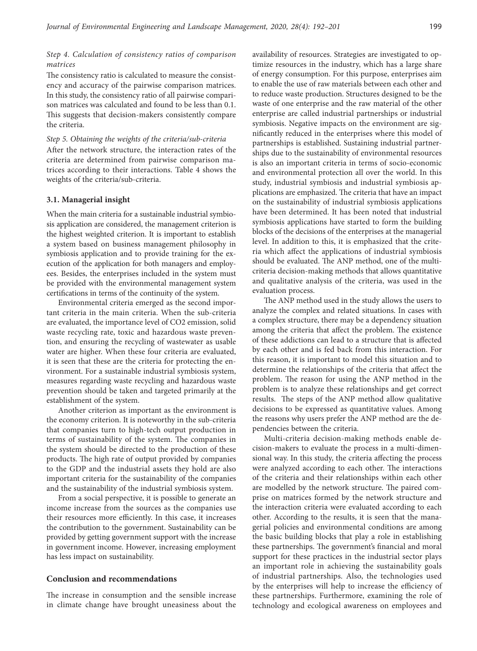### *Step 4. Calculation of consistency ratios of comparison matrices*

The consistency ratio is calculated to measure the consistency and accuracy of the pairwise comparison matrices. In this study, the consistency ratio of all pairwise comparison matrices was calculated and found to be less than 0.1. This suggests that decision-makers consistently compare the criteria.

*Step 5. Obtaining the weights of the criteria/sub-criteria* After the network structure, the interaction rates of the criteria are determined from pairwise comparison matrices according to their interactions. Table 4 shows the weights of the criteria/sub-criteria.

### **3.1. Managerial insight**

When the main criteria for a sustainable industrial symbiosis application are considered, the management criterion is the highest weighted criterion. It is important to establish a system based on business management philosophy in symbiosis application and to provide training for the execution of the application for both managers and employees. Besides, the enterprises included in the system must be provided with the environmental management system certifications in terms of the continuity of the system.

Environmental criteria emerged as the second important criteria in the main criteria. When the sub-criteria are evaluated, the importance level of CO2 emission, solid waste recycling rate, toxic and hazardous waste prevention, and ensuring the recycling of wastewater as usable water are higher. When these four criteria are evaluated, it is seen that these are the criteria for protecting the environment. For a sustainable industrial symbiosis system, measures regarding waste recycling and hazardous waste prevention should be taken and targeted primarily at the establishment of the system.

Another criterion as important as the environment is the economy criterion. It is noteworthy in the sub-criteria that companies turn to high-tech output production in terms of sustainability of the system. The companies in the system should be directed to the production of these products. The high rate of output provided by companies to the GDP and the industrial assets they hold are also important criteria for the sustainability of the companies and the sustainability of the industrial symbiosis system.

From a social perspective, it is possible to generate an income increase from the sources as the companies use their resources more efficiently. In this case, it increases the contribution to the government. Sustainability can be provided by getting government support with the increase in government income. However, increasing employment has less impact on sustainability.

#### **Conclusion and recommendations**

The increase in consumption and the sensible increase in climate change have brought uneasiness about the availability of resources. Strategies are investigated to optimize resources in the industry, which has a large share of energy consumption. For this purpose, enterprises aim to enable the use of raw materials between each other and to reduce waste production. Structures designed to be the waste of one enterprise and the raw material of the other enterprise are called industrial partnerships or industrial symbiosis. Negative impacts on the environment are significantly reduced in the enterprises where this model of partnerships is established. Sustaining industrial partnerships due to the sustainability of environmental resources is also an important criteria in terms of socio-economic and environmental protection all over the world. In this study, industrial symbiosis and industrial symbiosis applications are emphasized. The criteria that have an impact on the sustainability of industrial symbiosis applications have been determined. It has been noted that industrial symbiosis applications have started to form the building blocks of the decisions of the enterprises at the managerial level. In addition to this, it is emphasized that the criteria which affect the applications of industrial symbiosis should be evaluated. The ANP method, one of the multicriteria decision-making methods that allows quantitative and qualitative analysis of the criteria, was used in the evaluation process.

The ANP method used in the study allows the users to analyze the complex and related situations. In cases with a complex structure, there may be a dependency situation among the criteria that affect the problem. The existence of these addictions can lead to a structure that is affected by each other and is fed back from this interaction. For this reason, it is important to model this situation and to determine the relationships of the criteria that affect the problem. The reason for using the ANP method in the problem is to analyze these relationships and get correct results. The steps of the ANP method allow qualitative decisions to be expressed as quantitative values. Among the reasons why users prefer the ANP method are the dependencies between the criteria.

Multi-criteria decision-making methods enable decision-makers to evaluate the process in a multi-dimensional way. In this study, the criteria affecting the process were analyzed according to each other. The interactions of the criteria and their relationships within each other are modelled by the network structure. The paired comprise on matrices formed by the network structure and the interaction criteria were evaluated according to each other. According to the results, it is seen that the managerial policies and environmental conditions are among the basic building blocks that play a role in establishing these partnerships. The government's financial and moral support for these practices in the industrial sector plays an important role in achieving the sustainability goals of industrial partnerships. Also, the technologies used by the enterprises will help to increase the efficiency of these partnerships. Furthermore, examining the role of technology and ecological awareness on employees and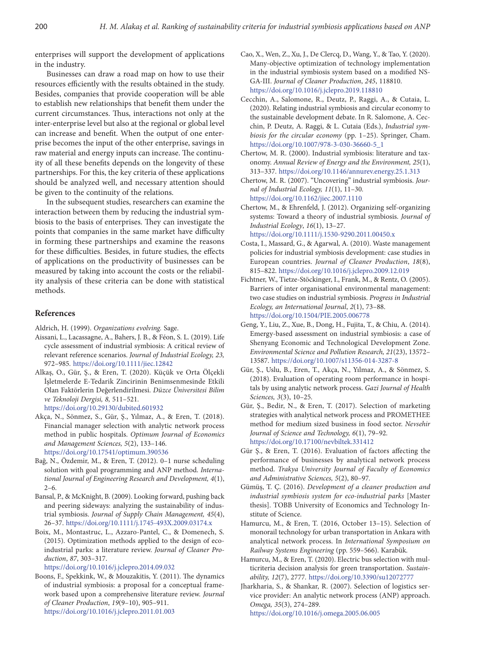enterprises will support the development of applications in the industry.

Businesses can draw a road map on how to use their resources efficiently with the results obtained in the study. Besides, companies that provide cooperation will be able to establish new relationships that benefit them under the current circumstances. Thus, interactions not only at the inter-enterprise level but also at the regional or global level can increase and benefit. When the output of one enterprise becomes the input of the other enterprise, savings in raw material and energy inputs can increase. The continuity of all these benefits depends on the longevity of these partnerships. For this, the key criteria of these applications should be analyzed well, and necessary attention should be given to the continuity of the relations.

In the subsequent studies, researchers can examine the interaction between them by reducing the industrial symbiosis to the basis of enterprises. They can investigate the points that companies in the same market have difficulty in forming these partnerships and examine the reasons for these difficulties. Besides, in future studies, the effects of applications on the productivity of businesses can be measured by taking into account the costs or the reliability analysis of these criteria can be done with statistical methods.

## **References**

Aldrich, H. (1999). *Organizations evolving.* Sage.

- Aissani, L., Lacassagne, A., Bahers, J. B., & Féon, S. L. (2019). Life cycle assessment of industrial symbiosis: A critical review of relevant reference scenarios. *Journal of Industrial Ecology, 23,*  972–985*.* <https://doi.org/10.1111/jiec.12842>
- Alkaş, O., Gür, Ş., & Eren, T. (2020). Küçük ve Orta Ölçekli İşletmelerde E-Tedarik Zincirinin Benimsenmesinde Etkili Olan Faktörlerin Değerlendirilmesi. *Düzce Üniversitesi Bilim ve Teknoloji Dergisi, 8,* 511–521*.*

<https://doi.org/10.29130/dubited.601932>

- Akça, N., Sönmez, S., Gür, Ş., Yılmaz, A., & Eren, T. (2018). Financial manager selection with analytic network process method in public hospitals. *Optimum Journal of Economics and Management Sciences, 5*(2), 133–146*.*  <https://doi.org/10.17541/optimum.390536>
- Bağ, N., Özdemir, M., & Eren, T. (2012). 0–1 nurse scheduling solution with goal programming and ANP method. *International Journal of Engineering Research and Development, 4*(1),  $2-6.$
- Bansal, P., & McKnight, B. (2009). Looking forward, pushing back and peering sideways: analyzing the sustainability of industrial symbiosis. *Journal of Supply Chain Management, 45*(4), 26–37. <https://doi.org/10.1111/j.1745-493X.2009.03174.x>
- Boix, M., Montastruc, L., Azzaro-Pantel, C., & Domenech, S. (2015). Optimization methods applied to the design of ecoindustrial parks: a literature review. *Journal of Cleaner Production*, *87*, 303–317.

<https://doi.org/10.1016/j.jclepro.2014.09.032>

Boons, F., Spekkink, W., & Mouzakitis, Y. (2011). The dynamics of industrial symbiosis: a proposal for a conceptual framework based upon a comprehensive literature review. *Journal of Cleaner Production*, *19*(9–10), 905–911. <https://doi.org/10.1016/j.jclepro.2011.01.003>

- Cao, X., Wen, Z., Xu, J., De Clercq, D., Wang, Y., & Tao, Y. (2020). Many-objective optimization of technology implementation in the industrial symbiosis system based on a modified NS-GA-III. *Journal of Cleaner Production*, *245*, 118810. <https://doi.org/10.1016/j.jclepro.2019.118810>
- Cecchin, A., Salomone, R., Deutz, P., Raggi, A., & Cutaia, L. (2020). Relating industrial symbiosis and circular economy to the sustainable development debate. In R. Salomone, A. Cecchin, P. Deutz, A. Raggi, & L. Cutaia (Eds.), *Industrial symbiosis for the circular economy* (pp. 1–25). Springer, Cham. [https://doi.org/10.1007/978-3-030-36660-5\\_1](https://doi.org/10.1007/978-3-030-36660-5_1)
- Chertow, M. R. (2000). Industrial symbiosis: literature and taxonomy. *Annual Review of Energy and the Environment, 25*(1), 313–337. <https://doi.org/10.1146/annurev.energy.25.1.313>
- Chertow, M. R. (2007). "Uncovering" industrial symbiosis. *Journal of Industrial Ecology, 11*(1), 11–30*.*  <https://doi.org/10.1162/jiec.2007.1110>
- Chertow, M., & Ehrenfeld, J. (2012). Organizing self‐organizing systems: Toward a theory of industrial symbiosis. *Journal of Industrial Ecology*, *16*(1), 13–27. <https://doi.org/10.1111/j.1530-9290.2011.00450.x>
- Costa, I., Massard, G., & Agarwal, A. (2010). Waste management policies for industrial symbiosis development: case studies in European countries. *Journal of Cleaner Production*, *18*(8), 815–822. <https://doi.org/10.1016/j.jclepro.2009.12.019>
- Fichtner, W., Tietze-Stöckinger, I., Frank, M., & Rentz, O. (2005). Barriers of inter organisational environmental management: two case studies on industrial symbiosis. *Progress in Industrial Ecology, an International Journal*, *2*(1), 73–88. <https://doi.org/10.1504/PIE.2005.006778>
- Geng, Y., Liu, Z., Xue, B., Dong, H., Fujita, T., & Chiu, A. (2014). Emergy-based assessment on industrial symbiosis: a case of Shenyang Economic and Technological Development Zone. *Environmental Science and Pollution Research, 21*(23), 13572– 13587. <https://doi.org/10.1007/s11356-014-3287-8>
- Gür, Ş., Uslu, B., Eren, T., Akça, N., Yılmaz, A., & Sönmez, S. (2018). Evaluation of operating room performance in hospitals by using analytic network process. *Gazi Journal of Health Sciences, 3*(3), 10–25*.*
- Gür, Ş., Bedir, N., & Eren, T. (2017). Selection of marketing strategies with analytical network process and PROMETHEE method for medium sized business in food sector. *Nevsehir Journal of Science and Technology, 6*(1), 79–92*.*  <https://doi.org/10.17100/nevbiltek.331412>
- Gür Ş., & Eren, T. (2016). Evaluation of factors affecting the performance of businesses by analytical network process method. *Trakya University Journal of Faculty of Economics and Administrative Sciences, 5*(2), 80–97*.*
- Gümüş, T. Ç. (2016). *Development of a cleaner production and industrial symbiosis system for eco-industrial parks* [Master thesis]. TOBB University of Economics and Technology Institute of Science.
- Hamurcu, M., & Eren, T. (2016, October 13–15). Selection of monorail technology for urban transportation in Ankara with analytical network process. In *International Symposium on Railway Systems Engineering* (pp. 559–566). Karabük*.*
- Hamurcu, M., & Eren, T. (2020). Electric bus selection with multicriteria decision analysis for green transportation. *Sustainability, 12*(7), 2777*.* <https://doi.org/10.3390/su12072777>
- Jharkharia, S., & Shankar, R. (2007). Selection of logistics service provider: An analytic network process (ANP) approach. *Omega, 35*(3), 274–289*.*

<https://doi.org/10.1016/j.omega.2005.06.005>